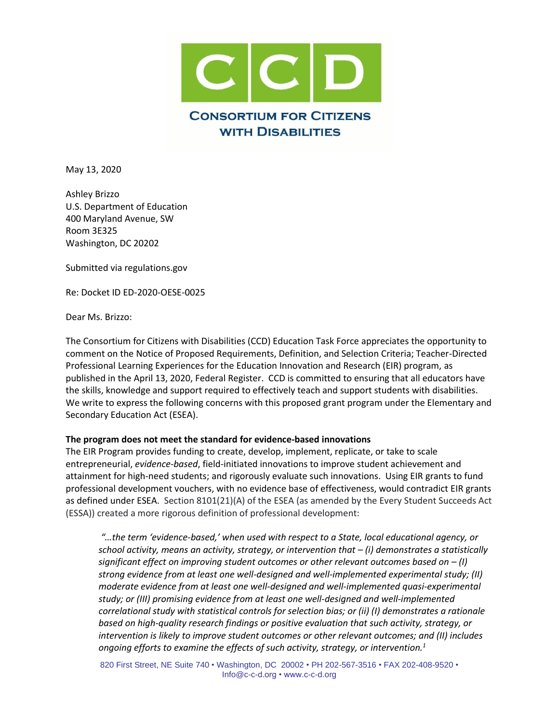

May 13, 2020

Ashley Brizzo U.S. Department of Education 400 Maryland Avenue, SW Room 3E325 Washington, DC 20202

Submitted via regulations.gov

Re: [Docket ID ED-2020-OESE-0025](https://www.federalregister.gov/documents/2020/04/13/2020-07753/proposed-priorities-requirements-definition-and-selection-criteria-education-innovation-and)

Dear Ms. Brizzo:

The Consortium for Citizens with Disabilities (CCD) Education Task Force appreciates the opportunity to comment on the Notice of Proposed Requirements, Definition, and Selection Criteria; Teacher-Directed Professional Learning Experiences for the Education Innovation and Research (EIR) program, as published in the April 13, 2020, Federal Register. CCD is committed to ensuring that all educators have the skills, knowledge and support required to effectively teach and support students with disabilities. We write to express the following concerns with this proposed grant program under the Elementary and Secondary Education Act (ESEA).

## **The program does not meet the standard for evidence-based innovations**

The EIR Program provides funding to create, develop, implement, replicate, or take to scale entrepreneurial, *evidence-based*, field-initiated innovations to improve student achievement and attainment for high-need students; and rigorously evaluate such innovations. Using EIR grants to fund professional development vouchers, with no evidence base of effectiveness, would contradict EIR grants as defined under ESEA. Section 8101(21)(A) of the ESEA (as amended by the Every Student Succeeds Act (ESSA)) created a more rigorous definition of professional development:

*"…the term 'evidence-based,' when used with respect to a State, local educational agency, or school activity, means an activity, strategy, or intervention that – (i) demonstrates a statistically significant effect on improving student outcomes or other relevant outcomes based on – (I) strong evidence from at least one well-designed and well-implemented experimental study; (II) moderate evidence from at least one well-designed and well-implemented quasi-experimental study; or (III) promising evidence from at least one well-designed and well-implemented correlational study with statistical controls for selection bias; or (ii) (I) demonstrates a rationale based on high-quality research findings or positive evaluation that such activity, strategy, or intervention is likely to improve student outcomes or other relevant outcomes; and (II) includes ongoing efforts to examine the effects of such activity, strategy, or intervention.1*

820 First Street, NE Suite 740 • Washington, DC 20002 • PH 202-567-3516 • FAX 202-408-9520 • Info@c-c-d.org • www.c-c-d.org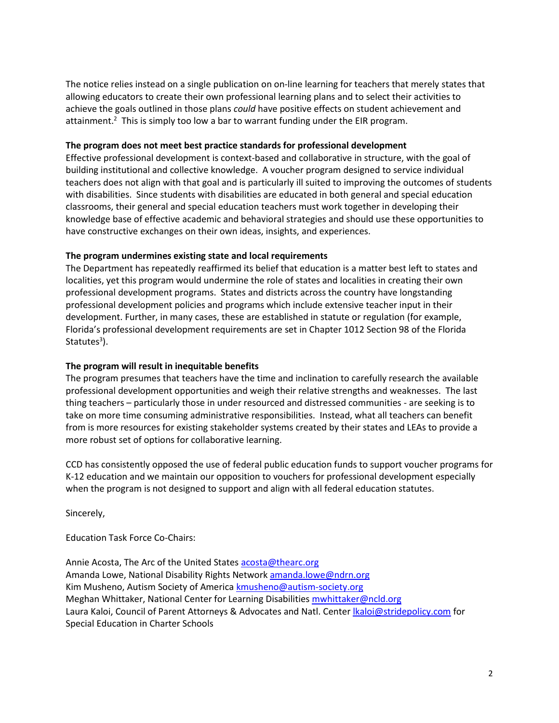The notice relies instead on a single publication on on-line learning for teachers that merely states that allowing educators to create their own professional learning plans and to select their activities to achieve the goals outlined in those plans *could* have positive effects on student achievement and attainment.<sup>2</sup> This is simply too low a bar to warrant funding under the EIR program.

## **The program does not meet best practice standards for professional development**

Effective professional development is context-based and collaborative in structure, with the goal of building institutional and collective knowledge. A voucher program designed to service individual teachers does not align with that goal and is particularly ill suited to improving the outcomes of students with disabilities. Since students with disabilities are educated in both general and special education classrooms, their general and special education teachers must work together in developing their knowledge base of effective academic and behavioral strategies and should use these opportunities to have constructive exchanges on their own ideas, insights, and experiences.

## **The program undermines existing state and local requirements**

The Department has repeatedly reaffirmed its belief that education is a matter best left to states and localities, yet this program would undermine the role of states and localities in creating their own professional development programs. States and districts across the country have longstanding professional development policies and programs which include extensive teacher input in their development. Further, in many cases, these are established in statute or regulation (for example, Florida's professional development requirements are set in Chapter 1012 Section 98 of the Florida Statutes<sup>3</sup>).

## **The program will result in inequitable benefits**

The program presumes that teachers have the time and inclination to carefully research the available professional development opportunities and weigh their relative strengths and weaknesses. The last thing teachers – particularly those in under resourced and distressed communities - are seeking is to take on more time consuming administrative responsibilities. Instead, what all teachers can benefit from is more resources for existing stakeholder systems created by their states and LEAs to provide a more robust set of options for collaborative learning.

CCD has consistently opposed the use of federal public education funds to support voucher programs for K-12 education and we maintain our opposition to vouchers for professional development especially when the program is not designed to support and align with all federal education statutes.

Sincerely,

Education Task Force Co-Chairs:

Annie Acosta, The Arc of the United States [acosta@thearc.org](mailto:acosta@thearc.org) Amanda Lowe, National Disability Rights Networ[k amanda.lowe@ndrn.org](mailto:amanda.lowe@ndrn.org) Kim Musheno, Autism Society of America **kmusheno@autism-society.org** Meghan Whittaker, National Center for Learning Disabilities [mwhittaker@ncld.org](mailto:mwhittaker@ncld.org) Laura Kaloi, Council of Parent Attorneys & Advocates and Natl. Center *kaloi@stridepolicy.com* for Special Education in Charter Schools